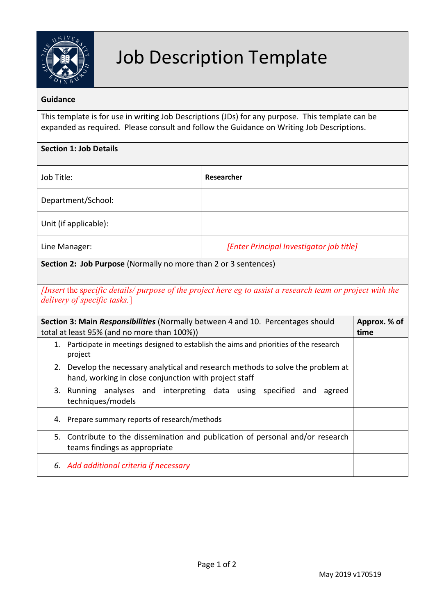

# Job Description Template

## **Guidance**

This template is for use in writing Job Descriptions (JDs) for any purpose. This template can be expanded as required. Please consult and follow the Guidance on Writing Job Descriptions.

| <b>Section 1: Job Details</b>                                                                                                              |                                                                                                                                           |                                                                                       |              |
|--------------------------------------------------------------------------------------------------------------------------------------------|-------------------------------------------------------------------------------------------------------------------------------------------|---------------------------------------------------------------------------------------|--------------|
| Job Title:                                                                                                                                 |                                                                                                                                           | Researcher                                                                            |              |
| Department/School:                                                                                                                         |                                                                                                                                           |                                                                                       |              |
|                                                                                                                                            | Unit (if applicable):                                                                                                                     |                                                                                       |              |
| [Enter Principal Investigator job title]<br>Line Manager:                                                                                  |                                                                                                                                           |                                                                                       |              |
| Section 2: Job Purpose (Normally no more than 2 or 3 sentences)                                                                            |                                                                                                                                           |                                                                                       |              |
| [Insert the specific details/ purpose of the project here eg to assist a research team or project with the<br>delivery of specific tasks.] |                                                                                                                                           |                                                                                       |              |
| Section 3: Main Responsibilities (Normally between 4 and 10. Percentages should                                                            |                                                                                                                                           |                                                                                       | Approx. % of |
| total at least 95% (and no more than 100%))                                                                                                |                                                                                                                                           |                                                                                       | time         |
| 1.                                                                                                                                         | project                                                                                                                                   | Participate in meetings designed to establish the aims and priorities of the research |              |
|                                                                                                                                            | 2. Develop the necessary analytical and research methods to solve the problem at<br>hand, working in close conjunction with project staff |                                                                                       |              |
|                                                                                                                                            | 3. Running analyses and interpreting data using specified and<br>techniques/models                                                        | agreed                                                                                |              |
|                                                                                                                                            | 4. Prepare summary reports of research/methods                                                                                            |                                                                                       |              |
| 5.                                                                                                                                         | teams findings as appropriate                                                                                                             | Contribute to the dissemination and publication of personal and/or research           |              |
|                                                                                                                                            | 6. Add additional criteria if necessary                                                                                                   |                                                                                       |              |